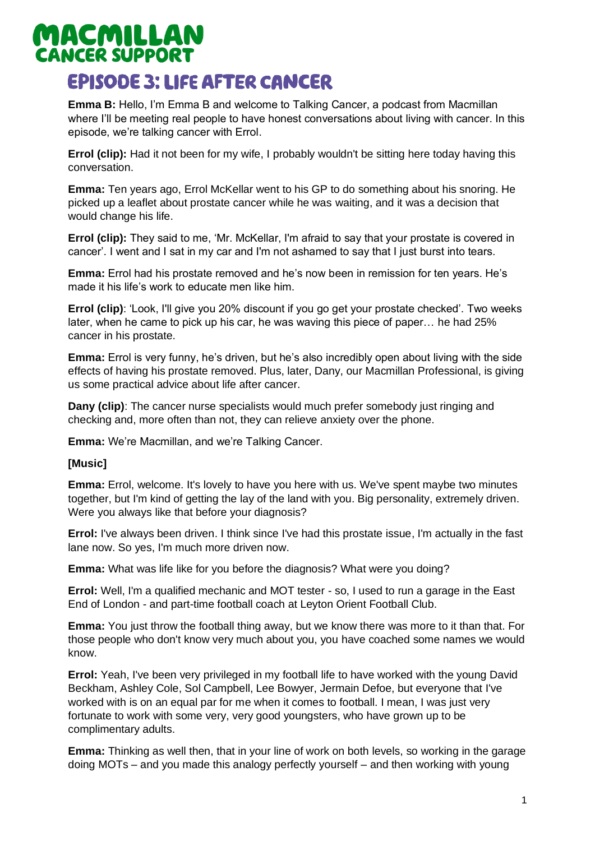# **MACMILLAN**<br>CANCER SUPPORT **EPISODE 3: LIFE AFTER CANCER**

**Emma B:** Hello, I'm Emma B and welcome to Talking Cancer, a podcast from Macmillan where I'll be meeting real people to have honest conversations about living with cancer. In this episode, we're talking cancer with Errol.

**Errol (clip):** Had it not been for my wife, I probably wouldn't be sitting here today having this conversation.

**Emma:** Ten years ago, Errol McKellar went to his GP to do something about his snoring. He picked up a leaflet about prostate cancer while he was waiting, and it was a decision that would change his life.

**Errol (clip):** They said to me, 'Mr. McKellar, I'm afraid to say that your prostate is covered in cancer'. I went and I sat in my car and I'm not ashamed to say that I just burst into tears.

**Emma:** Errol had his prostate removed and he's now been in remission for ten years. He's made it his life's work to educate men like him.

**Errol (clip)**: 'Look, I'll give you 20% discount if you go get your prostate checked'. Two weeks later, when he came to pick up his car, he was waving this piece of paper… he had 25% cancer in his prostate.

**Emma:** Errol is very funny, he's driven, but he's also incredibly open about living with the side effects of having his prostate removed. Plus, later, Dany, our Macmillan Professional, is giving us some practical advice about life after cancer.

**Dany (clip)**: The cancer nurse specialists would much prefer somebody just ringing and checking and, more often than not, they can relieve anxiety over the phone.

**Emma:** We're Macmillan, and we're Talking Cancer.

#### **[Music]**

**Emma:** Errol, welcome. It's lovely to have you here with us. We've spent maybe two minutes together, but I'm kind of getting the lay of the land with you. Big personality, extremely driven. Were you always like that before your diagnosis?

**Errol:** I've always been driven. I think since I've had this prostate issue, I'm actually in the fast lane now. So yes, I'm much more driven now.

**Emma:** What was life like for you before the diagnosis? What were you doing?

**Errol:** Well, I'm a qualified mechanic and MOT tester - so, I used to run a garage in the East End of London - and part-time football coach at Leyton Orient Football Club.

**Emma:** You just throw the football thing away, but we know there was more to it than that. For those people who don't know very much about you, you have coached some names we would know.

**Errol:** Yeah, I've been very privileged in my football life to have worked with the young David Beckham, Ashley Cole, Sol Campbell, Lee Bowyer, Jermain Defoe, but everyone that I've worked with is on an equal par for me when it comes to football. I mean, I was just very fortunate to work with some very, very good youngsters, who have grown up to be complimentary adults.

**Emma:** Thinking as well then, that in your line of work on both levels, so working in the garage doing MOTs – and you made this analogy perfectly yourself – and then working with young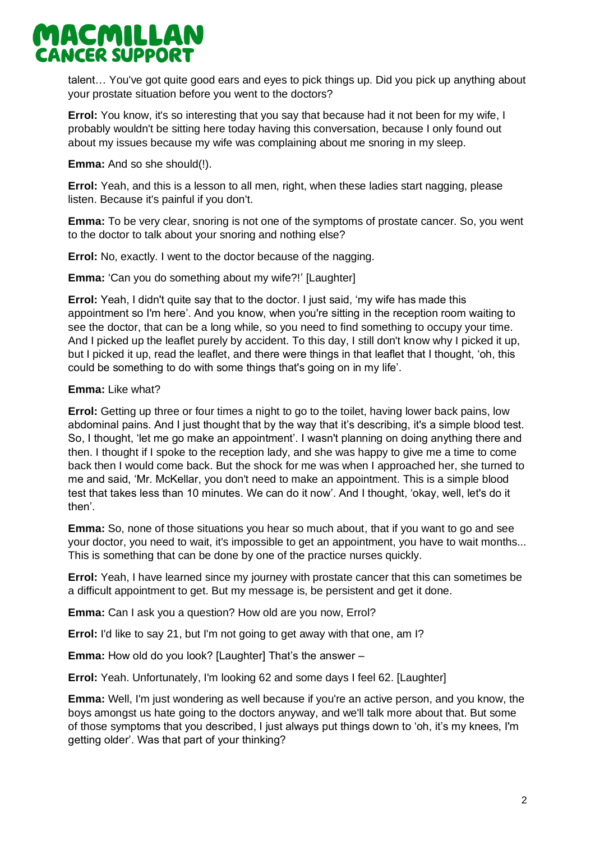talent… You've got quite good ears and eyes to pick things up. Did you pick up anything about your prostate situation before you went to the doctors?

**Errol:** You know, it's so interesting that you say that because had it not been for my wife, I probably wouldn't be sitting here today having this conversation, because I only found out about my issues because my wife was complaining about me snoring in my sleep.

**Emma:** And so she should(!).

**Errol:** Yeah, and this is a lesson to all men, right, when these ladies start nagging, please listen. Because it's painful if you don't.

**Emma:** To be very clear, snoring is not one of the symptoms of prostate cancer. So, you went to the doctor to talk about your snoring and nothing else?

**Errol:** No, exactly. I went to the doctor because of the nagging.

**Emma:** 'Can you do something about my wife?!' [Laughter]

**Errol:** Yeah, I didn't quite say that to the doctor. I just said, 'my wife has made this appointment so I'm here'. And you know, when you're sitting in the reception room waiting to see the doctor, that can be a long while, so you need to find something to occupy your time. And I picked up the leaflet purely by accident. To this day, I still don't know why I picked it up, but I picked it up, read the leaflet, and there were things in that leaflet that I thought, 'oh, this could be something to do with some things that's going on in my life'.

### **Emma:** Like what?

**Errol:** Getting up three or four times a night to go to the toilet, having lower back pains, low abdominal pains. And I just thought that by the way that it's describing, it's a simple blood test. So, I thought, 'let me go make an appointment'. I wasn't planning on doing anything there and then. I thought if I spoke to the reception lady, and she was happy to give me a time to come back then I would come back. But the shock for me was when I approached her, she turned to me and said, 'Mr. McKellar, you don't need to make an appointment. This is a simple blood test that takes less than 10 minutes. We can do it now'. And I thought, 'okay, well, let's do it then'.

**Emma:** So, none of those situations you hear so much about, that if you want to go and see your doctor, you need to wait, it's impossible to get an appointment, you have to wait months... This is something that can be done by one of the practice nurses quickly.

**Errol:** Yeah, I have learned since my journey with prostate cancer that this can sometimes be a difficult appointment to get. But my message is, be persistent and get it done.

**Emma:** Can I ask you a question? How old are you now, Errol?

**Errol:** I'd like to say 21, but I'm not going to get away with that one, am I?

**Emma:** How old do you look? [Laughter] That's the answer –

**Errol:** Yeah. Unfortunately, I'm looking 62 and some days I feel 62. [Laughter]

**Emma:** Well, I'm just wondering as well because if you're an active person, and you know, the boys amongst us hate going to the doctors anyway, and we'll talk more about that. But some of those symptoms that you described, I just always put things down to 'oh, it's my knees, I'm getting older'. Was that part of your thinking?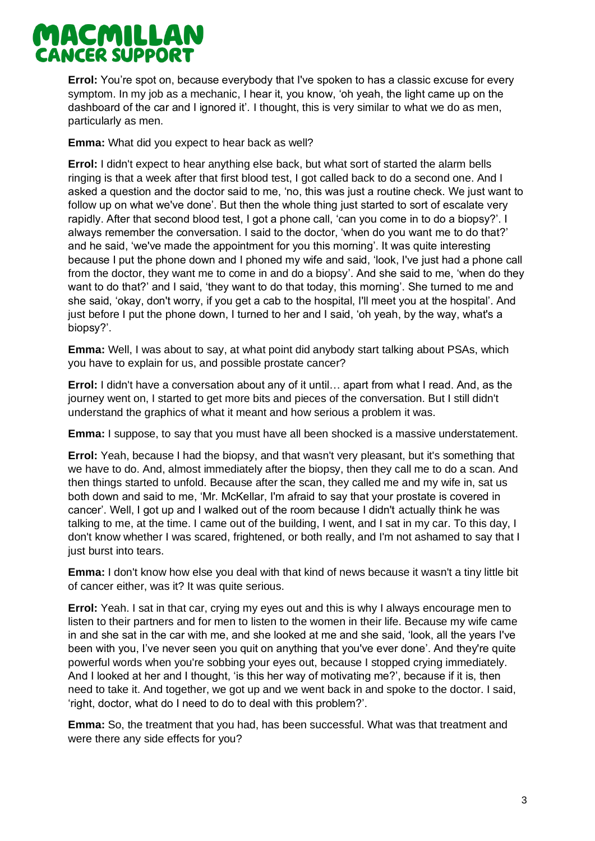**Errol:** You're spot on, because everybody that I've spoken to has a classic excuse for every symptom. In my job as a mechanic, I hear it, you know, 'oh yeah, the light came up on the dashboard of the car and I ignored it'*.* I thought, this is very similar to what we do as men, particularly as men.

**Emma:** What did you expect to hear back as well?

**Errol:** I didn't expect to hear anything else back, but what sort of started the alarm bells ringing is that a week after that first blood test, I got called back to do a second one. And I asked a question and the doctor said to me, 'no, this was just a routine check. We just want to follow up on what we've done'. But then the whole thing just started to sort of escalate very rapidly. After that second blood test, I got a phone call, 'can you come in to do a biopsy?'. I always remember the conversation. I said to the doctor, 'when do you want me to do that?' and he said, 'we've made the appointment for you this morning'. It was quite interesting because I put the phone down and I phoned my wife and said, 'look, I've just had a phone call from the doctor, they want me to come in and do a biopsy'. And she said to me, 'when do they want to do that?' and I said, 'they want to do that today, this morning'. She turned to me and she said, 'okay, don't worry, if you get a cab to the hospital, I'll meet you at the hospital'. And just before I put the phone down, I turned to her and I said, 'oh yeah, by the way, what's a biopsy?'.

**Emma:** Well, I was about to say, at what point did anybody start talking about PSAs, which you have to explain for us, and possible prostate cancer?

**Errol:** I didn't have a conversation about any of it until… apart from what I read. And, as the journey went on, I started to get more bits and pieces of the conversation. But I still didn't understand the graphics of what it meant and how serious a problem it was.

**Emma:** I suppose, to say that you must have all been shocked is a massive understatement.

**Errol:** Yeah, because I had the biopsy, and that wasn't very pleasant, but it's something that we have to do. And, almost immediately after the biopsy, then they call me to do a scan. And then things started to unfold. Because after the scan, they called me and my wife in, sat us both down and said to me, 'Mr. McKellar, I'm afraid to say that your prostate is covered in cancer'. Well, I got up and I walked out of the room because I didn't actually think he was talking to me, at the time. I came out of the building, I went, and I sat in my car. To this day, I don't know whether I was scared, frightened, or both really, and I'm not ashamed to say that I just burst into tears.

**Emma:** I don't know how else you deal with that kind of news because it wasn't a tiny little bit of cancer either, was it? It was quite serious.

**Errol:** Yeah. I sat in that car, crying my eyes out and this is why I always encourage men to listen to their partners and for men to listen to the women in their life. Because my wife came in and she sat in the car with me, and she looked at me and she said, 'look, all the years I've been with you, I've never seen you quit on anything that you've ever done'. And they're quite powerful words when you're sobbing your eyes out, because I stopped crying immediately. And I looked at her and I thought, 'is this her way of motivating me?', because if it is, then need to take it. And together, we got up and we went back in and spoke to the doctor. I said, 'right, doctor, what do I need to do to deal with this problem?'.

**Emma:** So, the treatment that you had, has been successful. What was that treatment and were there any side effects for you?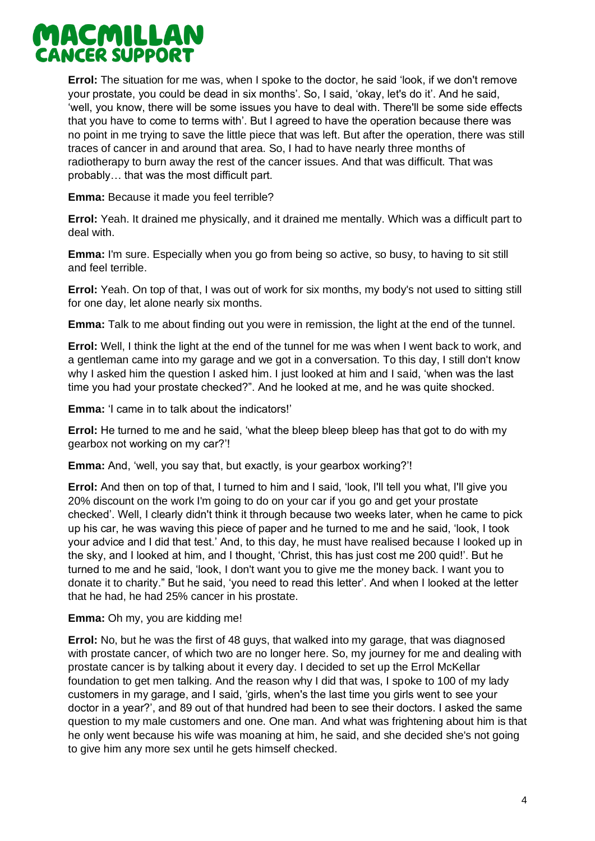**Errol:** The situation for me was, when I spoke to the doctor, he said 'look, if we don't remove your prostate, you could be dead in six months'. So, I said, 'okay, let's do it'. And he said, 'well, you know, there will be some issues you have to deal with. There'll be some side effects that you have to come to terms with'. But I agreed to have the operation because there was no point in me trying to save the little piece that was left. But after the operation, there was still traces of cancer in and around that area. So, I had to have nearly three months of radiotherapy to burn away the rest of the cancer issues. And that was difficult. That was probably… that was the most difficult part.

**Emma:** Because it made you feel terrible?

**Errol:** Yeah. It drained me physically, and it drained me mentally. Which was a difficult part to deal with.

**Emma:** I'm sure. Especially when you go from being so active, so busy, to having to sit still and feel terrible.

**Errol:** Yeah. On top of that, I was out of work for six months, my body's not used to sitting still for one day, let alone nearly six months.

**Emma:** Talk to me about finding out you were in remission, the light at the end of the tunnel.

**Errol:** Well, I think the light at the end of the tunnel for me was when I went back to work, and a gentleman came into my garage and we got in a conversation. To this day, I still don't know why I asked him the question I asked him. I just looked at him and I said, 'when was the last time you had your prostate checked?". And he looked at me, and he was quite shocked.

**Emma:** 'I came in to talk about the indicators!'

**Errol:** He turned to me and he said, 'what the bleep bleep bleep has that got to do with my gearbox not working on my car?'!

**Emma:** And, 'well, you say that, but exactly, is your gearbox working?'!

**Errol:** And then on top of that, I turned to him and I said, 'look, I'll tell you what, I'll give you 20% discount on the work I'm going to do on your car if you go and get your prostate checked'. Well, I clearly didn't think it through because two weeks later, when he came to pick up his car, he was waving this piece of paper and he turned to me and he said, 'look, I took your advice and I did that test.' And, to this day, he must have realised because I looked up in the sky, and I looked at him, and I thought, 'Christ, this has just cost me 200 quid!'. But he turned to me and he said, 'look, I don't want you to give me the money back. I want you to donate it to charity." But he said, 'you need to read this letter'. And when I looked at the letter that he had, he had 25% cancer in his prostate.

**Emma:** Oh my, you are kidding me!

**Errol:** No, but he was the first of 48 guys, that walked into my garage, that was diagnosed with prostate cancer, of which two are no longer here. So, my journey for me and dealing with prostate cancer is by talking about it every day. I decided to set up the Errol McKellar foundation to get men talking. And the reason why I did that was, I spoke to 100 of my lady customers in my garage, and I said, 'girls, when's the last time you girls went to see your doctor in a year?', and 89 out of that hundred had been to see their doctors. I asked the same question to my male customers and one. One man. And what was frightening about him is that he only went because his wife was moaning at him, he said, and she decided she's not going to give him any more sex until he gets himself checked.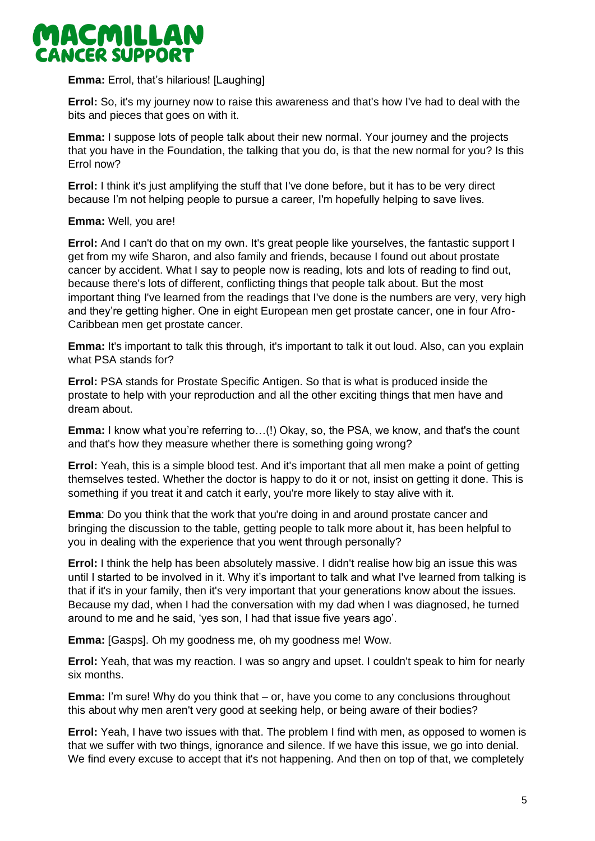

### **Emma:** Errol, that's hilarious! [Laughing]

**Errol:** So, it's my journey now to raise this awareness and that's how I've had to deal with the bits and pieces that goes on with it.

**Emma:** I suppose lots of people talk about their new normal. Your journey and the projects that you have in the Foundation, the talking that you do, is that the new normal for you? Is this Errol now?

**Errol:** I think it's just amplifying the stuff that I've done before, but it has to be very direct because I'm not helping people to pursue a career, I'm hopefully helping to save lives.

#### **Emma:** Well, you are!

**Errol:** And I can't do that on my own. It's great people like yourselves, the fantastic support I get from my wife Sharon, and also family and friends, because I found out about prostate cancer by accident. What I say to people now is reading, lots and lots of reading to find out, because there's lots of different, conflicting things that people talk about. But the most important thing I've learned from the readings that I've done is the numbers are very, very high and they're getting higher. One in eight European men get prostate cancer, one in four Afro-Caribbean men get prostate cancer.

**Emma:** It's important to talk this through, it's important to talk it out loud. Also, can you explain what PSA stands for?

**Errol:** PSA stands for Prostate Specific Antigen. So that is what is produced inside the prostate to help with your reproduction and all the other exciting things that men have and dream about.

**Emma:** I know what you're referring to…(!) Okay, so, the PSA, we know, and that's the count and that's how they measure whether there is something going wrong?

**Errol:** Yeah, this is a simple blood test. And it's important that all men make a point of getting themselves tested. Whether the doctor is happy to do it or not, insist on getting it done. This is something if you treat it and catch it early, you're more likely to stay alive with it.

**Emma**: Do you think that the work that you're doing in and around prostate cancer and bringing the discussion to the table, getting people to talk more about it, has been helpful to you in dealing with the experience that you went through personally?

**Errol:** I think the help has been absolutely massive. I didn't realise how big an issue this was until I started to be involved in it. Why it's important to talk and what I've learned from talking is that if it's in your family, then it's very important that your generations know about the issues. Because my dad, when I had the conversation with my dad when I was diagnosed, he turned around to me and he said, 'yes son, I had that issue five years ago'.

**Emma:** [Gasps]. Oh my goodness me, oh my goodness me! Wow.

**Errol:** Yeah, that was my reaction. I was so angry and upset. I couldn't speak to him for nearly six months.

**Emma:** I'm sure! Why do you think that – or, have you come to any conclusions throughout this about why men aren't very good at seeking help, or being aware of their bodies?

**Errol:** Yeah, I have two issues with that. The problem I find with men, as opposed to women is that we suffer with two things, ignorance and silence. If we have this issue, we go into denial. We find every excuse to accept that it's not happening. And then on top of that, we completely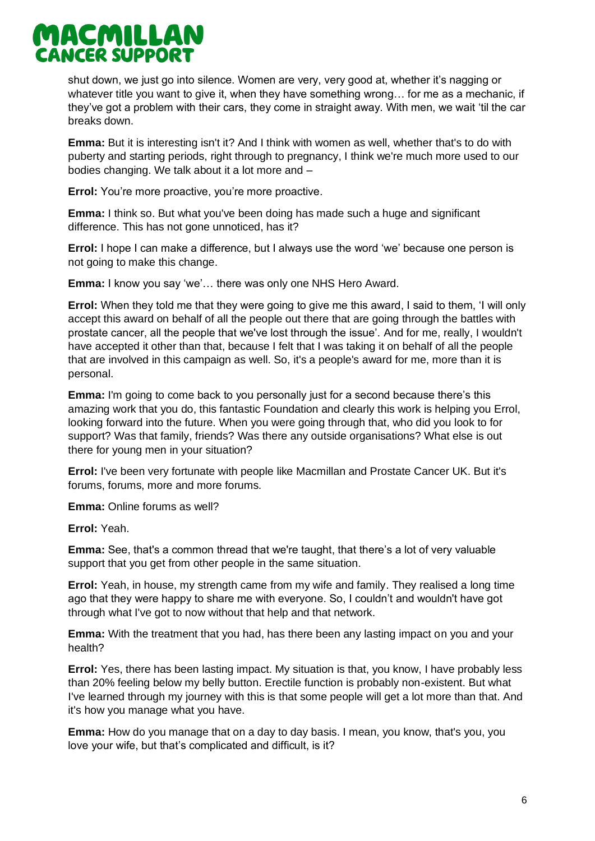

shut down, we just go into silence. Women are very, very good at, whether it's nagging or whatever title you want to give it, when they have something wrong… for me as a mechanic, if they've got a problem with their cars, they come in straight away. With men, we wait 'til the car breaks down.

**Emma:** But it is interesting isn't it? And I think with women as well, whether that's to do with puberty and starting periods, right through to pregnancy, I think we're much more used to our bodies changing. We talk about it a lot more and –

**Errol:** You're more proactive, you're more proactive.

**Emma:** I think so. But what you've been doing has made such a huge and significant difference. This has not gone unnoticed, has it?

**Errol:** I hope I can make a difference, but I always use the word 'we' because one person is not going to make this change.

**Emma:** I know you say 'we'… there was only one NHS Hero Award.

**Errol:** When they told me that they were going to give me this award, I said to them, 'I will only accept this award on behalf of all the people out there that are going through the battles with prostate cancer, all the people that we've lost through the issue'. And for me, really, I wouldn't have accepted it other than that, because I felt that I was taking it on behalf of all the people that are involved in this campaign as well. So, it's a people's award for me, more than it is personal.

**Emma:** I'm going to come back to you personally just for a second because there's this amazing work that you do, this fantastic Foundation and clearly this work is helping you Errol, looking forward into the future. When you were going through that, who did you look to for support? Was that family, friends? Was there any outside organisations? What else is out there for young men in your situation?

**Errol:** I've been very fortunate with people like Macmillan and Prostate Cancer UK. But it's forums, forums, more and more forums.

**Emma:** Online forums as well?

**Errol:** Yeah.

**Emma:** See, that's a common thread that we're taught, that there's a lot of very valuable support that you get from other people in the same situation.

**Errol:** Yeah, in house, my strength came from my wife and family. They realised a long time ago that they were happy to share me with everyone. So, I couldn't and wouldn't have got through what I've got to now without that help and that network.

**Emma:** With the treatment that you had, has there been any lasting impact on you and your health?

**Errol:** Yes, there has been lasting impact. My situation is that, you know, I have probably less than 20% feeling below my belly button. Erectile function is probably non-existent. But what I've learned through my journey with this is that some people will get a lot more than that. And it's how you manage what you have.

**Emma:** How do you manage that on a day to day basis. I mean, you know, that's you, you love your wife, but that's complicated and difficult, is it?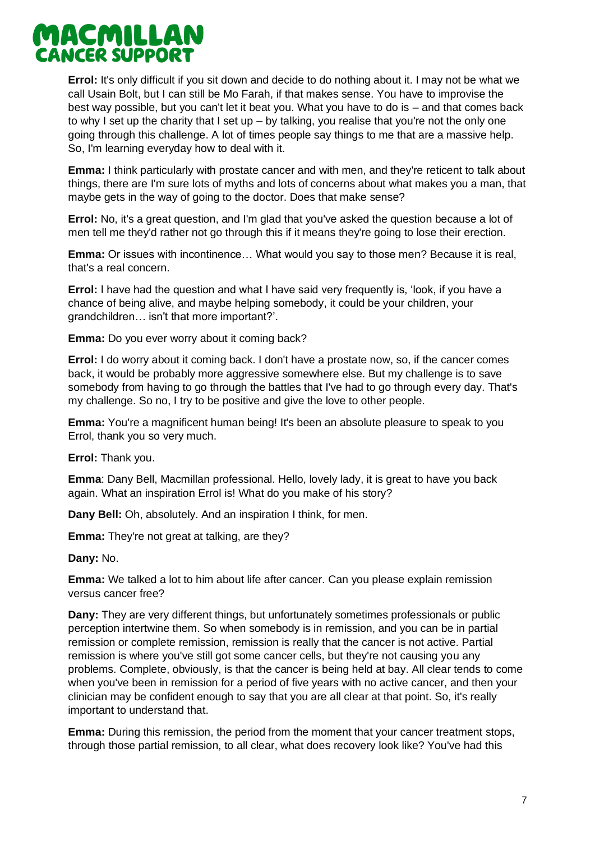

**Errol:** It's only difficult if you sit down and decide to do nothing about it. I may not be what we call Usain Bolt, but I can still be Mo Farah, if that makes sense. You have to improvise the best way possible, but you can't let it beat you. What you have to do is – and that comes back to why I set up the charity that I set up – by talking, you realise that you're not the only one going through this challenge. A lot of times people say things to me that are a massive help. So, I'm learning everyday how to deal with it.

**Emma:** I think particularly with prostate cancer and with men, and they're reticent to talk about things, there are I'm sure lots of myths and lots of concerns about what makes you a man, that maybe gets in the way of going to the doctor. Does that make sense?

**Errol:** No, it's a great question, and I'm glad that you've asked the question because a lot of men tell me they'd rather not go through this if it means they're going to lose their erection.

**Emma:** Or issues with incontinence… What would you say to those men? Because it is real, that's a real concern.

**Errol:** I have had the question and what I have said very frequently is, 'look, if you have a chance of being alive, and maybe helping somebody, it could be your children, your grandchildren… isn't that more important?'.

**Emma:** Do you ever worry about it coming back?

**Errol:** I do worry about it coming back. I don't have a prostate now, so, if the cancer comes back, it would be probably more aggressive somewhere else. But my challenge is to save somebody from having to go through the battles that I've had to go through every day. That's my challenge. So no, I try to be positive and give the love to other people.

**Emma:** You're a magnificent human being! It's been an absolute pleasure to speak to you Errol, thank you so very much.

**Errol:** Thank you.

**Emma**: Dany Bell, Macmillan professional. Hello, lovely lady, it is great to have you back again. What an inspiration Errol is! What do you make of his story?

**Dany Bell:** Oh, absolutely. And an inspiration I think, for men.

**Emma:** They're not great at talking, are they?

**Dany:** No.

**Emma:** We talked a lot to him about life after cancer. Can you please explain remission versus cancer free?

**Dany:** They are very different things, but unfortunately sometimes professionals or public perception intertwine them. So when somebody is in remission, and you can be in partial remission or complete remission, remission is really that the cancer is not active. Partial remission is where you've still got some cancer cells, but they're not causing you any problems. Complete, obviously, is that the cancer is being held at bay. All clear tends to come when you've been in remission for a period of five years with no active cancer, and then your clinician may be confident enough to say that you are all clear at that point. So, it's really important to understand that.

**Emma:** During this remission, the period from the moment that your cancer treatment stops, through those partial remission, to all clear, what does recovery look like? You've had this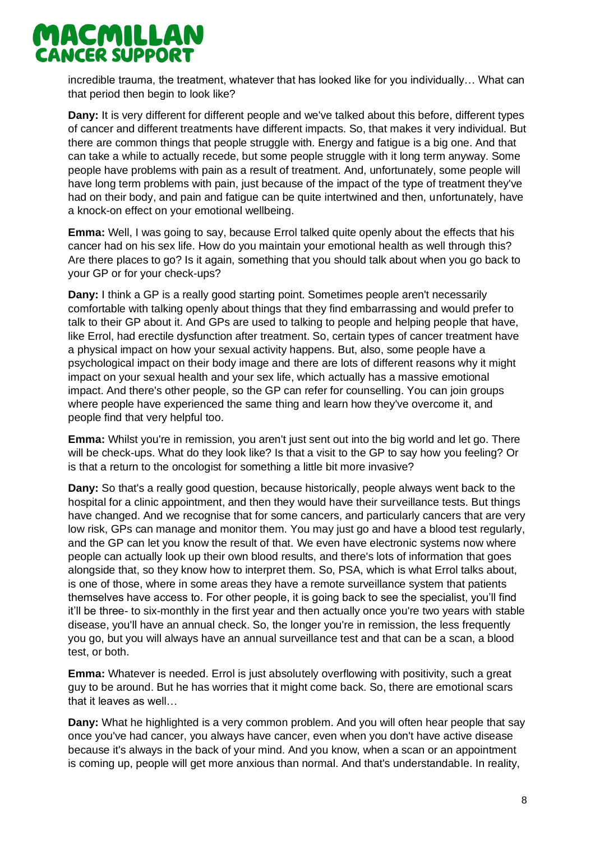incredible trauma, the treatment, whatever that has looked like for you individually… What can that period then begin to look like?

**Dany:** It is very different for different people and we've talked about this before, different types of cancer and different treatments have different impacts. So, that makes it very individual. But there are common things that people struggle with. Energy and fatigue is a big one. And that can take a while to actually recede, but some people struggle with it long term anyway. Some people have problems with pain as a result of treatment. And, unfortunately, some people will have long term problems with pain, just because of the impact of the type of treatment they've had on their body, and pain and fatigue can be quite intertwined and then, unfortunately, have a knock-on effect on your emotional wellbeing.

**Emma:** Well, I was going to say, because Errol talked quite openly about the effects that his cancer had on his sex life. How do you maintain your emotional health as well through this? Are there places to go? Is it again, something that you should talk about when you go back to your GP or for your check-ups?

**Dany:** I think a GP is a really good starting point. Sometimes people aren't necessarily comfortable with talking openly about things that they find embarrassing and would prefer to talk to their GP about it. And GPs are used to talking to people and helping people that have, like Errol, had erectile dysfunction after treatment. So, certain types of cancer treatment have a physical impact on how your sexual activity happens. But, also, some people have a psychological impact on their body image and there are lots of different reasons why it might impact on your sexual health and your sex life, which actually has a massive emotional impact. And there's other people, so the GP can refer for counselling. You can join groups where people have experienced the same thing and learn how they've overcome it, and people find that very helpful too.

**Emma:** Whilst you're in remission, you aren't just sent out into the big world and let go. There will be check-ups. What do they look like? Is that a visit to the GP to say how you feeling? Or is that a return to the oncologist for something a little bit more invasive?

**Dany:** So that's a really good question, because historically, people always went back to the hospital for a clinic appointment, and then they would have their surveillance tests. But things have changed. And we recognise that for some cancers, and particularly cancers that are very low risk, GPs can manage and monitor them. You may just go and have a blood test regularly, and the GP can let you know the result of that. We even have electronic systems now where people can actually look up their own blood results, and there's lots of information that goes alongside that, so they know how to interpret them. So, PSA, which is what Errol talks about, is one of those, where in some areas they have a remote surveillance system that patients themselves have access to. For other people, it is going back to see the specialist, you'll find it'll be three- to six-monthly in the first year and then actually once you're two years with stable disease, you'll have an annual check. So, the longer you're in remission, the less frequently you go, but you will always have an annual surveillance test and that can be a scan, a blood test, or both.

**Emma:** Whatever is needed. Errol is just absolutely overflowing with positivity, such a great guy to be around. But he has worries that it might come back. So, there are emotional scars that it leaves as well…

**Dany:** What he highlighted is a very common problem. And you will often hear people that say once you've had cancer, you always have cancer, even when you don't have active disease because it's always in the back of your mind. And you know, when a scan or an appointment is coming up, people will get more anxious than normal. And that's understandable. In reality,